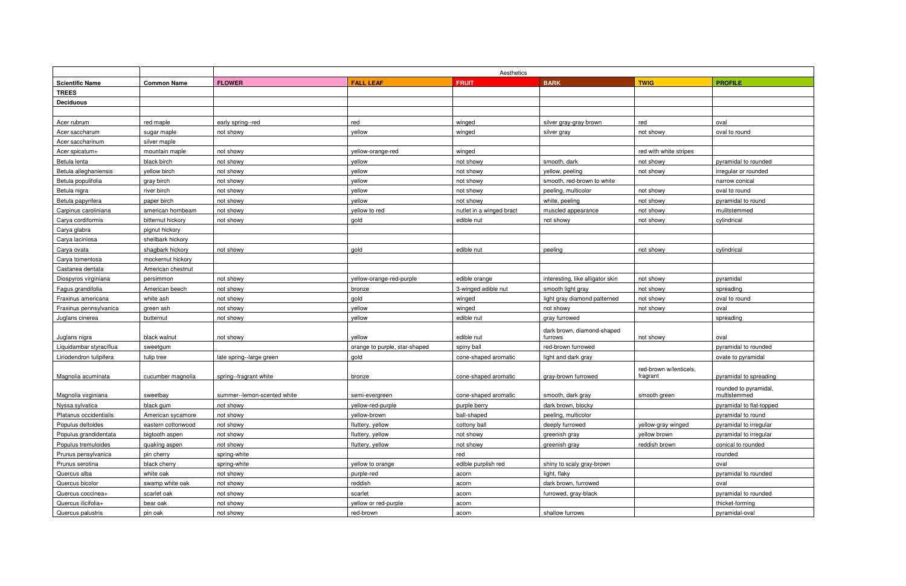|                         |                    |                             |                               | Aesthetics               |                                  |                                    |                                       |
|-------------------------|--------------------|-----------------------------|-------------------------------|--------------------------|----------------------------------|------------------------------------|---------------------------------------|
| <b>Scientific Name</b>  | <b>Common Name</b> | <b>FLOWER</b>               | <b>FALL LEAF</b>              | <b>FRUIT</b>             | <b>BARK</b>                      | <b>TWIG</b>                        | <b>PROFILE</b>                        |
| <b>TREES</b>            |                    |                             |                               |                          |                                  |                                    |                                       |
| <b>Deciduous</b>        |                    |                             |                               |                          |                                  |                                    |                                       |
|                         |                    |                             |                               |                          |                                  |                                    |                                       |
| Acer rubrum             | red maple          | early spring--red           | red                           | winged                   | silver gray-gray brown           | red                                | oval                                  |
| Acer saccharum          | sugar maple        | not showy                   | vellow                        | winged                   | silver gray                      | not showy                          | oval to round                         |
| Acer saccharinum        | silver maple       |                             |                               |                          |                                  |                                    |                                       |
| Acer spicatum+          | mountain maple     | not showy                   | yellow-orange-red             | winged                   |                                  | red with white stripes             |                                       |
| Betula lenta            | black birch        | not showy                   | yellow                        | not showy                | smooth, dark                     | not showy                          | pyramidal to rounded                  |
| Betula alleghaniensis   | yellow birch       | not showy                   | yellow                        | not showy                | vellow, peeling                  | not showy                          | irregular or rounded                  |
| Betula populifolia      | gray birch         | not showy                   | vellow                        | not showy                | smooth, red-brown to white       |                                    | narrow conical                        |
| Betula nigra            | river birch        | not showy                   | yellow                        | not showy                | peeling, multicolor              | not showy                          | oval to round                         |
| Betula papyrifera       | paper birch        | not showy                   | yellow                        | not showy                | white, peeling                   | not showy                          | pyramidal to round                    |
| Carpinus caroliniana    | american hornbeam  | not showy                   | yellow to red                 | nutlet in a winged bract | muscled appearance               | not showy                          | mulitstemmed                          |
| Carya cordiformis       | bitternut hickory  | not showy                   | gold                          | edible nut               | not showy                        | not showy                          | cylindrical                           |
| Carya glabra            | pignut hickory     |                             |                               |                          |                                  |                                    |                                       |
| Carya laciniosa         | shellbark hickory  |                             |                               |                          |                                  |                                    |                                       |
| Carya ovata             | shagbark hickory   | not showy                   | gold                          | edible nut               | peeling                          | not showy                          | cylindrical                           |
| Carya tomentosa         | mockernut hickory  |                             |                               |                          |                                  |                                    |                                       |
| Castanea dentata        | American chestnut  |                             |                               |                          |                                  |                                    |                                       |
| Diospyros virginiana    | persimmon          | not showy                   | yellow-orange-red-purple      | edible orange            | interesting, like alligator skin | not showy                          | pyramidal                             |
| Fagus grandifolia       | American beech     | not showy                   | bronze                        | 3-winged edible nut      | smooth light gray                | not showy                          | spreading                             |
| Fraxinus americana      | white ash          | not showy                   | gold                          | winged                   | light gray diamond patterned     | not showy                          | oval to round                         |
| Fraxinus pennsylvanica  | green ash          | not showy                   | vellow                        | winged                   | not showy                        | not showy                          | oval                                  |
| Juglans cinerea         | butternut          | not showy                   | yellow                        | edible nut               | gray furrowed                    |                                    | spreading                             |
|                         |                    |                             |                               |                          | dark brown, diamond-shaped       |                                    |                                       |
| Juglans nigra           | black walnut       | not showy                   | vellow                        | edible nut               | furrows                          | not showy                          | oval                                  |
| Liquidambar styraciflua | sweetgum           |                             | orange to purple, star-shaped | spiny ball               | red-brown furrowed               |                                    | pyramidal to rounded                  |
| Liriodendron tulipifera | tulip tree         | late spring--large green    | gold                          | cone-shaped aromatic     | light and dark gray              |                                    | ovate to pyramidal                    |
| Magnolia acuminata      | cucumber magnolia  | spring--fragrant white      | bronze                        | cone-shaped aromatic     | gray-brown furrowed              | red-brown w/lenticels,<br>fragrant | pyramidal to spreading                |
| Magnolia virginiana     | sweetbay           | summer--lemon-scented white | semi-evergreen                | cone-shaped aromatic     | smooth, dark gray                | smooth green                       | rounded to pyramidal,<br>multistemmed |
| Nyssa sylvatica         | black gum          | not showy                   | yellow-red-purple             | purple berry             | dark brown, blocky               |                                    | pyramidal to flat-topped              |
| Platanus occidentialis  | American sycamore  | not showy                   | yellow-brown                  | ball-shaped              | peeling, multicolor              |                                    | pyramidal to round                    |
| Populus deltoides       | eastern cottonwood | not showy                   | fluttery, yellow              | cottony ball             | deeply furrowed                  | yellow-gray winged                 | pyramidal to irregular                |
| Populus grandidentata   | bigtooth aspen     | not showy                   | fluttery, yellow              | not showy                | greenish gray                    | yellow brown                       | pyramidal to irregular                |
| Populus tremuloides     | quaking aspen      | not showy                   | fluttery, yellow              | not showy                | greenish gray                    | reddish brown                      | conical to rounded                    |
| Prunus pensylvanica     | pin cherry         | spring-white                |                               | red                      |                                  |                                    | rounded                               |
| Prunus serotina         | black cherry       | spring-white                | yellow to orange              | edible purplish red      | shiny to scaly gray-brown        |                                    | oval                                  |
| Quercus alba            | white oak          | not showy                   | purple-red                    | acorn                    | light, flaky                     |                                    | pyramidal to rounded                  |
| Quercus bicolor         | swamp white oak    | not showy                   | reddish                       | acorn                    | dark brown, furrowed             |                                    | oval                                  |
| Quercus coccinea+       | scarlet oak        | not showy                   | scarlet                       | acorn                    | furrowed, gray-black             |                                    | pyramidal to rounded                  |
| Quercus ilicifolia+     | bear oak           | not showy                   | yellow or red-purple          | acorn                    |                                  |                                    | thicket-forming                       |
| Quercus palustris       | pin oak            | not showy                   | red-brown                     | acorn                    | shallow furrows                  |                                    | pyramidal-oval                        |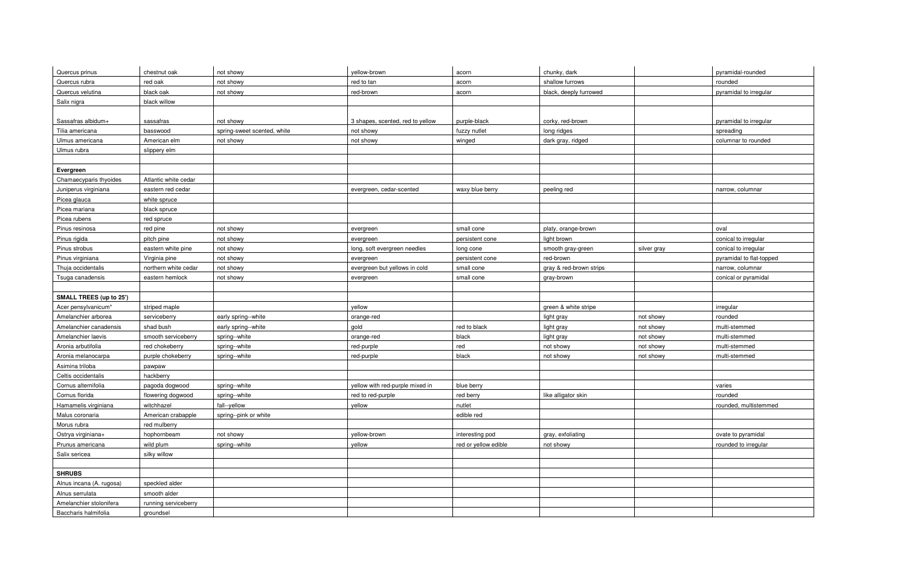| Quercus prinus                 | chestnut oak         | not showy                   | yellow-brown                     | acorn                | chunky, dark            |             | pyramidal-rounded        |
|--------------------------------|----------------------|-----------------------------|----------------------------------|----------------------|-------------------------|-------------|--------------------------|
| Quercus rubra                  | red oak              | not showy                   | red to tan                       | acorn                | shallow furrows         |             | rounded                  |
| Quercus velutina               | black oak            | not showy                   | red-brown                        | acorn                | black, deeply furrowed  |             | pyramidal to irregular   |
| Salix nigra                    | black willow         |                             |                                  |                      |                         |             |                          |
|                                |                      |                             |                                  |                      |                         |             |                          |
| Sassafras albidum+             | sassafras            | not showy                   | 3 shapes, scented, red to yellow | purple-black         | corky, red-brown        |             | pyramidal to irregular   |
| Tilia americana                | basswood             | spring-sweet scented, white | not showy                        | fuzzy nutlet         | long ridges             |             | spreading                |
| Ulmus americana                | American elm         | not showy                   | not showy                        | winged               | dark gray, ridged       |             | columnar to rounded      |
| Ulmus rubra                    | slippery elm         |                             |                                  |                      |                         |             |                          |
|                                |                      |                             |                                  |                      |                         |             |                          |
| Evergreen                      |                      |                             |                                  |                      |                         |             |                          |
| Chamaecyparis thyoides         | Atlantic white cedar |                             |                                  |                      |                         |             |                          |
| Juniperus virginiana           | eastern red cedar    |                             | evergreen, cedar-scented         | waxy blue berry      | peeling red             |             | narrow, columnar         |
| Picea glauca                   | white spruce         |                             |                                  |                      |                         |             |                          |
| Picea mariana                  | black spruce         |                             |                                  |                      |                         |             |                          |
| Picea rubens                   | red spruce           |                             |                                  |                      |                         |             |                          |
| Pinus resinosa                 | red pine             | not showy                   | evergreen                        | small cone           | platy, orange-brown     |             | oval                     |
| Pinus rigida                   | pitch pine           | not showy                   | evergreen                        | persistent cone      | light brown             |             | conical to irregular     |
| Pinus strobus                  | eastern white pine   | not showy                   | long, soft evergreen needles     | long cone            | smooth gray-green       | silver gray | conical to irregular     |
| Pinus virginiana               | Virginia pine        | not showy                   | evergreen                        | persistent cone      | red-brown               |             | pyramidal to flat-topped |
| Thuja occidentalis             | northern white cedar | not showy                   | evergreen but yellows in cold    | small cone           | gray & red-brown strips |             | narrow, columnar         |
| Tsuga canadensis               | eastern hemlock      | not showy                   | evergreen                        | small cone           | gray-brown              |             | conical or pyramidal     |
|                                |                      |                             |                                  |                      |                         |             |                          |
| <b>SMALL TREES (up to 25')</b> |                      |                             |                                  |                      |                         |             |                          |
| Acer pensylvanicum*            | striped maple        |                             | yellow                           |                      | green & white stripe    |             | irregular                |
| Amelanchier arborea            | serviceberry         | early spring--white         | orange-red                       |                      | light gray              | not showy   | rounded                  |
| Amelanchier canadensis         | shad bush            | early spring--white         | gold                             | red to black         | light gray              | not showy   | multi-stemmed            |
| Amelanchier laevis             | smooth serviceberry  | spring--white               | orange-red                       | black                | light gray              | not showy   | multi-stemmed            |
| Aronia arbutifolia             | red chokeberry       | spring--white               | red-purple                       | red                  | not showy               | not showy   | multi-stemmed            |
| Aronia melanocarpa             | purple chokeberry    | spring--white               | red-purple                       | black                | not showy               | not showy   | multi-stemmed            |
| Asimina triloba                | pawpaw               |                             |                                  |                      |                         |             |                          |
| Celtis occidentalis            | hackberry            |                             |                                  |                      |                         |             |                          |
| Cornus alternifolia            | pagoda dogwood       | spring--white               | yellow with red-purple mixed in  | blue berry           |                         |             | varies                   |
| Cornus florida                 | flowering dogwood    | spring--white               | red to red-purple                | red berry            | like alligator skin     |             | rounded                  |
| Hamamelis virginiana           | witchhazel           | fall--yellow                | yellow                           | nutlet               |                         |             | rounded, multistemmed    |
| Malus coronaria                | American crabapple   | spring--pink or white       |                                  | edible red           |                         |             |                          |
| Morus rubra                    | red mulberry         |                             |                                  |                      |                         |             |                          |
| Ostrya virginiana+             | hophornbeam          | not showy                   | yellow-brown                     | interesting pod      | gray, exfoliating       |             | ovate to pyramidal       |
| Prunus americana               | wild plum            | spring--white               | yellow                           | red or yellow edible | not showy               |             | rounded to irregular     |
| Salix sericea                  | silky willow         |                             |                                  |                      |                         |             |                          |
|                                |                      |                             |                                  |                      |                         |             |                          |
| <b>SHRUBS</b>                  |                      |                             |                                  |                      |                         |             |                          |
| Alnus incana (A. rugosa)       | speckled alder       |                             |                                  |                      |                         |             |                          |
| Alnus serrulata                | smooth alder         |                             |                                  |                      |                         |             |                          |
| Amelanchier stolonifera        | running serviceberry |                             |                                  |                      |                         |             |                          |
| Baccharis halmifolia           | groundsel            |                             |                                  |                      |                         |             |                          |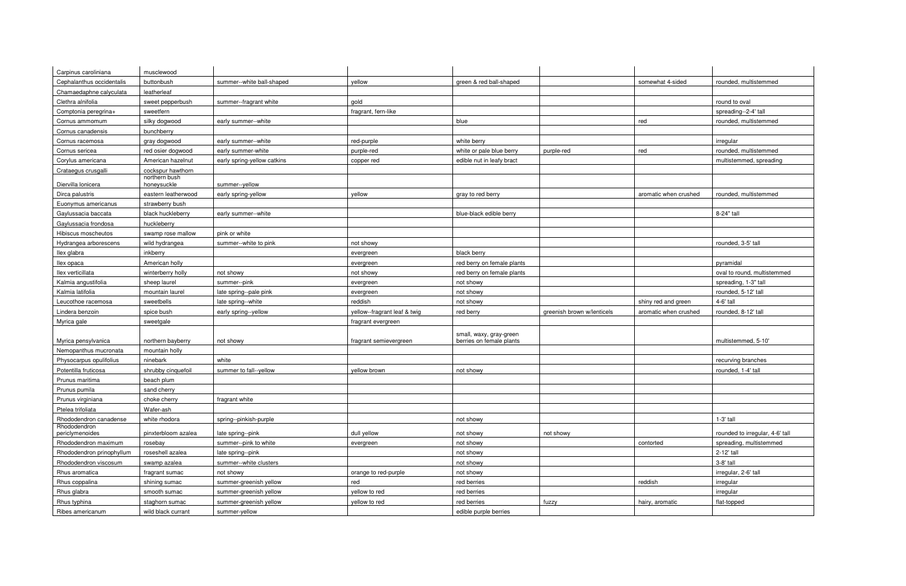| Carpinus caroliniana                        | musclewood                         |                             |                              |                            |                            |                       |                                 |
|---------------------------------------------|------------------------------------|-----------------------------|------------------------------|----------------------------|----------------------------|-----------------------|---------------------------------|
| Cephalanthus occidentalis                   | buttonbush                         | summer--white ball-shaped   | yellow                       | green & red ball-shaped    |                            | somewhat 4-sided      | rounded, multistemmed           |
| Chamaedaphne calyculata                     | leatherleaf                        |                             |                              |                            |                            |                       |                                 |
| Clethra alnifolia                           | sweet pepperbush                   | summer--fragrant white      | gold                         |                            |                            |                       | round to oval                   |
| Comptonia peregrina+                        | sweetfern                          |                             | fragrant, fern-like          |                            |                            |                       | spreading--2-4' tall            |
| Cornus ammomum                              | silky dogwood                      | early summer--white         |                              | blue                       |                            | red                   | rounded, multistemmed           |
| Cornus canadensis                           | bunchberry                         |                             |                              |                            |                            |                       |                                 |
| Cornus racemosa                             | gray dogwood                       | early summer--white         | red-purple                   | white berry                |                            |                       | irregular                       |
| Cornus sericea                              | red osier dogwood                  | early summer-white          | purple-red                   | white or pale blue berry   | purple-red                 | red                   | rounded, multistemmed           |
| Corylus americana                           | American hazelnut                  | early spring-yellow catkins | copper red                   | edible nut in leafy bract  |                            |                       | multistemmed, spreading         |
| Crataegus crusgalli                         | cockspur hawthorn                  |                             |                              |                            |                            |                       |                                 |
|                                             | northern bush                      |                             |                              |                            |                            |                       |                                 |
| Diervilla lonicera                          | honeysuckle<br>eastern leatherwood | summer--yellow              |                              |                            |                            |                       | rounded, multistemmed           |
| Dirca palustris                             |                                    | early spring-yellow         | yellow                       | gray to red berry          |                            | aromatic when crushed |                                 |
| Euonymus americanus                         | strawberry bush                    |                             |                              |                            |                            |                       |                                 |
| Gaylussacia baccata<br>Gaylussacia frondosa | black huckleberry<br>huckleberry   | early summer--white         |                              | blue-black edible berry    |                            |                       | 8-24" tall                      |
| Hibiscus moscheutos                         | swamp rose mallow                  | pink or white               |                              |                            |                            |                       |                                 |
|                                             |                                    | summer--white to pink       | not showy                    |                            |                            |                       | rounded, 3-5' tall              |
| Hydrangea arborescens<br>llex glabra        | wild hydrangea<br>inkberry         |                             |                              | black berry                |                            |                       |                                 |
| llex opaca                                  | American holly                     |                             | evergreen                    | red berry on female plants |                            |                       | pyramidal                       |
| llex verticillata                           | winterberry holly                  | not showy                   | evergreen<br>not showy       | red berry on female plants |                            |                       | oval to round, multistemmed     |
| Kalmia angustifolia                         | sheep laurel                       | summer--pink                | evergreen                    | not showy                  |                            |                       | spreading, 1-3" tall            |
| Kalmia latifolia                            | mountain laurel                    | late spring--pale pink      | evergreen                    | not showy                  |                            |                       | rounded, 5-12' tall             |
| Leucothoe racemosa                          | sweetbells                         | late spring--white          | reddish                      | not showy                  |                            | shiny red and green   | 4-6' tall                       |
|                                             |                                    |                             |                              | red berry                  | greenish brown w/lenticels | aromatic when crushed | rounded, 8-12' tall             |
|                                             |                                    |                             |                              |                            |                            |                       |                                 |
| Lindera benzoin                             | spice bush                         | early spring--yellow        | yellow--fragrant leaf & twig |                            |                            |                       |                                 |
| Myrica gale                                 | sweetgale                          |                             | fragrant evergreen           |                            |                            |                       |                                 |
|                                             |                                    |                             |                              | small, waxy, gray-green    |                            |                       |                                 |
| Myrica pensylvanica                         | northern bayberry                  | not showy                   | fragrant semievergreen       | berries on female plants   |                            |                       | multistemmed, 5-10'             |
| Nemopanthus mucronata                       | mountain holly                     |                             |                              |                            |                            |                       |                                 |
| Physocarpus opulifolius                     | ninebark                           | white                       | yellow brown                 |                            |                            |                       | recurving branches              |
| Potentilla fruticosa                        | shrubby cinquefoil                 | summer to fall--yellow      |                              | not showy                  |                            |                       | rounded, 1-4' tall              |
| Prunus maritima                             | beach plum                         |                             |                              |                            |                            |                       |                                 |
| Prunus pumila                               | sand cherry                        | fragrant white              |                              |                            |                            |                       |                                 |
| Prunus virginiana<br>Ptelea trifoliata      | choke cherry<br>Wafer-ash          |                             |                              |                            |                            |                       |                                 |
| Rhododendron canadense                      | white rhodora                      | spring--pinkish-purple      |                              | not showy                  |                            |                       | $1-3'$ tall                     |
| Rhododendron<br>periclymenoides             | pinxterbloom azalea                | late spring--pink           | dull yellow                  | not showy                  | not showy                  |                       | rounded to irregular, 4-6' tall |
| Rhododendron maximum                        | rosebay                            | summer--pink to white       | evergreen                    | not showy                  |                            | contorted             | spreading, multistemmed         |
| Rhododendron prinophyllum                   | roseshell azalea                   | late spring--pink           |                              | not showy                  |                            |                       | 2-12' tall                      |
| Rhododendron viscosum                       | swamp azalea                       | summer--white clusters      |                              | not showy                  |                            |                       | 3-8' tall                       |
| Rhus aromatica                              | fragrant sumac                     | not showy                   | orange to red-purple         | not showy                  |                            |                       | irregular, 2-6' tall            |
| Rhus coppalina                              | shining sumac                      | summer-greenish yellow      | red                          | red berries                |                            | reddish               | irregular                       |
| Rhus glabra                                 | smooth sumac                       | summer-greenish yellow      | yellow to red                | red berries                |                            |                       | irregular                       |
| Rhus typhina                                | staghorn sumac                     | summer-greenish yellow      | yellow to red                | red berries                | fuzzy                      | hairy, aromatic       | flat-topped                     |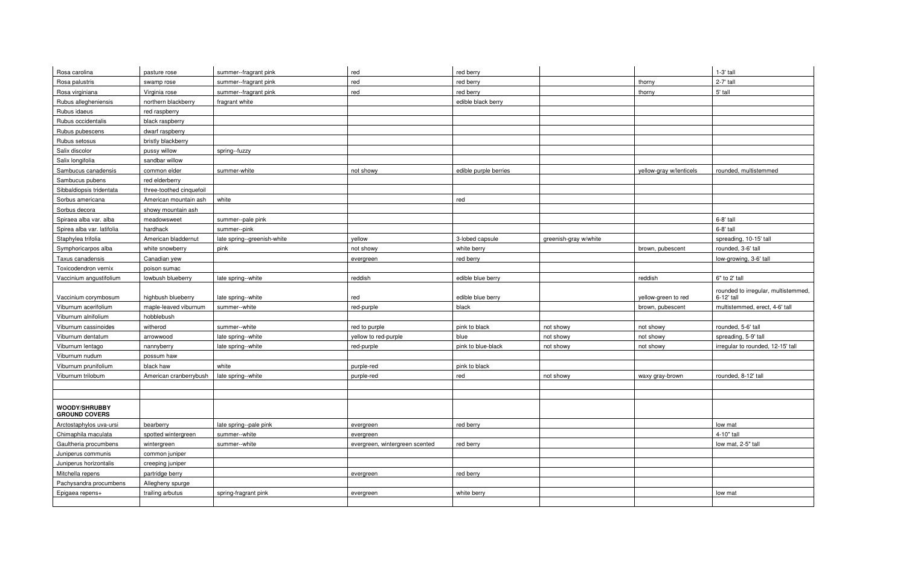| Rosa carolina                                | pasture rose             | summer--fragrant pink       | red                            | red berry             |                       |                         | $1-3'$ tall                         |
|----------------------------------------------|--------------------------|-----------------------------|--------------------------------|-----------------------|-----------------------|-------------------------|-------------------------------------|
| Rosa palustris                               | swamp rose               | summer--fragrant pink       | red                            | red berry             |                       | thorny                  | 2-7' tall                           |
| Rosa virginiana                              | Virginia rose            | summer--fragrant pink       | red                            | red berry             |                       | thorny                  | 5' tall                             |
| Rubus allegheniensis                         | northern blackberry      | fragrant white              |                                | edible black berry    |                       |                         |                                     |
| Rubus idaeus                                 | red raspberry            |                             |                                |                       |                       |                         |                                     |
| Rubus occidentalis                           | black raspberry          |                             |                                |                       |                       |                         |                                     |
| Rubus pubescens                              | dwarf raspberry          |                             |                                |                       |                       |                         |                                     |
| Rubus setosus                                | bristly blackberry       |                             |                                |                       |                       |                         |                                     |
| Salix discolor                               | pussy willow             | spring--fuzzy               |                                |                       |                       |                         |                                     |
| Salix longifolia                             | sandbar willow           |                             |                                |                       |                       |                         |                                     |
| Sambucus canadensis                          | common elder             | summer-white                | not showy                      | edible purple berries |                       | yellow-gray w/lenticels | rounded, multistemmed               |
| Sambucus pubens                              | red elderberry           |                             |                                |                       |                       |                         |                                     |
| Sibbaldiopsis tridentata                     | three-toothed cinquefoil |                             |                                |                       |                       |                         |                                     |
| Sorbus americana                             | American mountain ash    | white                       |                                | red                   |                       |                         |                                     |
| Sorbus decora                                | showy mountain ash       |                             |                                |                       |                       |                         |                                     |
| Spiraea alba var. alba                       | meadowsweet              | summer--pale pink           |                                |                       |                       |                         | 6-8' tall                           |
| Spirea alba var. latifolia                   | hardhack                 | summer--pink                |                                |                       |                       |                         | 6-8' tall                           |
| Staphylea trifolia                           | American bladdernut      | late spring--greenish-white | vellow                         | 3-lobed capsule       | greenish-gray w/white |                         | spreading, 10-15' tall              |
| Symphoricarpos alba                          | white snowberry          | pink                        | not showy                      | white berry           |                       | brown, pubescent        | rounded, 3-6' tall                  |
| Taxus canadensis                             | Canadian yew             |                             | evergreen                      | red berry             |                       |                         | low-growing, 3-6' tall              |
| Toxicodendron vernix                         | poison sumac             |                             |                                |                       |                       |                         |                                     |
| Vaccinium angustifolium                      | lowbush blueberry        | late spring--white          | reddish                        | edible blue berry     |                       | reddish                 | 6" to 2' tall                       |
|                                              |                          |                             |                                |                       |                       |                         | rounded to irregular, multistemmed, |
| Vaccinium corymbosum                         | highbush blueberry       | late spring--white          | red                            | edible blue berry     |                       | yellow-green to red     | 6-12' tall                          |
| Viburnum acerifolium                         | maple-leaved viburnum    | summer--white               | red-purple                     | black                 |                       | brown, pubescent        | multistemmed, erect, 4-6' tall      |
| Viburnum alnifolium                          | hobblebush               |                             |                                |                       |                       |                         |                                     |
| Viburnum cassinoides                         | witherod                 | summer--white               | red to purple                  | pink to black         | not showy             | not showy               | rounded, 5-6' tall                  |
| Viburnum dentatum                            | arrowwood                | late spring--white          | yellow to red-purple           | blue                  | not showy             | not showy               | spreading, 5-9' tall                |
| Viburnum lentago                             | nannyberry               | late spring--white          | red-purple                     | pink to blue-black    | not showy             | not showy               | irregular to rounded, 12-15' tall   |
| Viburnum nudum                               | possum haw               |                             |                                |                       |                       |                         |                                     |
| Viburnum prunifolium                         | black haw                | white                       | purple-red                     | pink to black         |                       |                         |                                     |
| Viburnum trilobum                            | American cranberrybush   | late spring--white          | purple-red                     | red                   | not showy             | waxy gray-brown         | rounded, 8-12' tall                 |
|                                              |                          |                             |                                |                       |                       |                         |                                     |
|                                              |                          |                             |                                |                       |                       |                         |                                     |
| <b>WOODY/SHRUBBY</b><br><b>GROUND COVERS</b> |                          |                             |                                |                       |                       |                         |                                     |
| Arctostaphylos uva-ursi                      | bearberry                | late spring--pale pink      | evergreen                      | red berry             |                       |                         | low mat                             |
| Chimaphila maculata                          | spotted wintergreen      | summer--white               | evergreen                      |                       |                       |                         | 4-10" tall                          |
| Gaultheria procumbens                        | wintergreen              | summer--white               | evergreen, wintergreen scented | red berry             |                       |                         | low mat, 2-5" tall                  |
| Juniperus communis                           | common juniper           |                             |                                |                       |                       |                         |                                     |
| Juniperus horizontalis                       | creeping juniper         |                             |                                |                       |                       |                         |                                     |
| Mitchella repens                             | partridge berry          |                             | evergreen                      | red berry             |                       |                         |                                     |
| Pachysandra procumbens                       | Allegheny spurge         |                             |                                |                       |                       |                         |                                     |
| Epigaea repens+                              | trailing arbutus         | spring-fragrant pink        | evergreen                      | white berry           |                       |                         | low mat                             |
|                                              |                          |                             |                                |                       |                       |                         |                                     |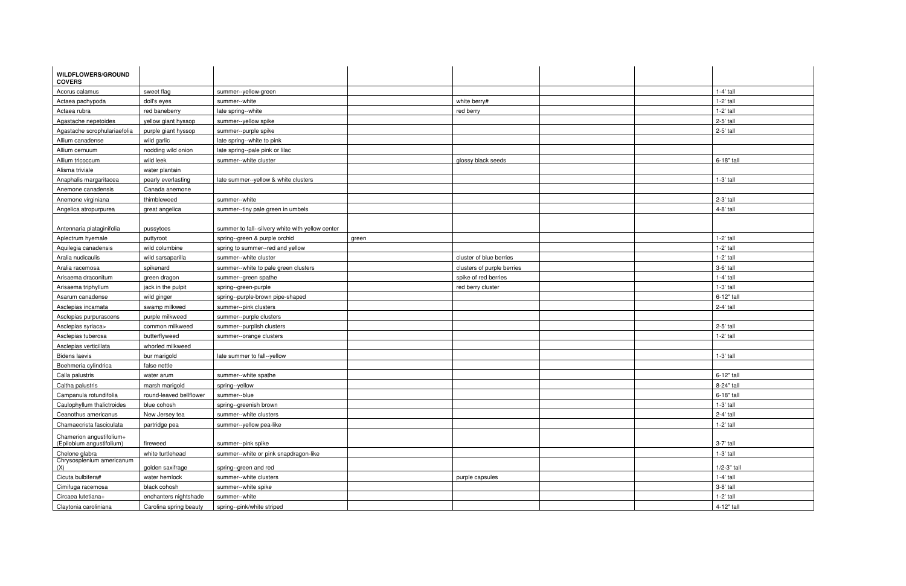| <b>WILDFLOWERS/GROUND</b>        |                         |                                                  |       |                            |               |
|----------------------------------|-------------------------|--------------------------------------------------|-------|----------------------------|---------------|
| <b>COVERS</b>                    |                         |                                                  |       |                            |               |
| Acorus calamus                   | sweet flag              | summer--yellow-green                             |       |                            | $1-4'$ tall   |
| Actaea pachypoda                 | doll's eyes             | summer--white                                    |       | white berry#               | $1-2'$ tall   |
| Actaea rubra                     | red baneberry           | late spring--white                               |       | red berry                  | $1-2'$ tall   |
| Agastache nepetoides             | yellow giant hyssop     | summer--yellow spike                             |       |                            | 2-5' tall     |
| Agastache scrophulariaefolia     | purple giant hyssop     | summer--purple spike                             |       |                            | 2-5' tall     |
| Allium canadense                 | wild garlic             | late spring--white to pink                       |       |                            |               |
| Allium cernuum                   | nodding wild onion      | late spring--pale pink or lilac                  |       |                            |               |
| Allium tricoccum                 | wild leek               | summer--white cluster                            |       | glossy black seeds         | 6-18" tall    |
| Alisma triviale                  | water plantain          |                                                  |       |                            |               |
| Anaphalis margaritacea           | pearly everlasting      | late summer--yellow & white clusters             |       |                            | 1-3' tall     |
| Anemone canadensis               | Canada anemone          |                                                  |       |                            |               |
| Anemone virginiana               | thimbleweed             | summer--white                                    |       |                            | 2-3' tall     |
| Angelica atropurpurea            | great angelica          | summer--tiny pale green in umbels                |       |                            | 4-8' tall     |
|                                  |                         |                                                  |       |                            |               |
| Antennaria plataginifolia        | pussytoes               | summer to fall--silvery white with yellow center |       |                            |               |
| Aplectrum hyemale                | puttyroot               | spring--green & purple orchid                    | green |                            | $1-2'$ tall   |
| Aquilegia canadensis             | wild columbine          | spring to summer--red and yellow                 |       |                            | $1-2'$ tall   |
| Aralia nudicaulis                | wild sarsaparilla       | summer--white cluster                            |       | cluster of blue berries    | $1-2'$ tall   |
| Aralia racemosa                  | spikenard               | summer--white to pale green clusters             |       | clusters of purple berries | 3-6' tall     |
| Arisaema draconitum              | green dragon            | summer--green spathe                             |       | spike of red berries       | 1-4' tall     |
| Arisaema triphyllum              | jack in the pulpit      | spring--green-purple                             |       | red berry cluster          | 1-3' tall     |
| Asarum canadense                 | wild ginger             | spring--purple-brown pipe-shaped                 |       |                            | 6-12" tall    |
| Asclepias incarnata              | swamp milkwed           | summer--pink clusters                            |       |                            | 2-4' tall     |
| Asclepias purpurascens           | purple milkweed         | summer--purple clusters                          |       |                            |               |
| Asclepias syriaca>               | common milkweed         | summer--purplish clusters                        |       |                            | 2-5' tall     |
| Asclepias tuberosa               | butterflyweed           | summer--orange clusters                          |       |                            | $1-2'$ tall   |
| Asclepias verticillata           | whorled milkweed        |                                                  |       |                            |               |
| <b>Bidens laevis</b>             | bur marigold            | late summer to fall--yellow                      |       |                            | 1-3' tall     |
| Boehmeria cylindrica             | false nettle            |                                                  |       |                            |               |
| Calla palustris                  | water arum              | summer--white spathe                             |       |                            | 6-12" tall    |
| Caltha palustris                 | marsh marigold          | spring--yellow                                   |       |                            | 8-24" tall    |
| Campanula rotundifolia           | round-leaved bellflower | summer--blue                                     |       |                            | 6-18" tall    |
| Caulophyllum thalictroides       | blue cohosh             | spring--greenish brown                           |       |                            | $1-3'$ tall   |
| Ceanothus americanus             | New Jersey tea          | summer--white clusters                           |       |                            | 2-4' tall     |
| Chamaecrista fasciculata         | partridge pea           | summer--yellow pea-like                          |       |                            | $1-2'$ tall   |
| Chamerion angustifolium+         |                         |                                                  |       |                            |               |
| (Epilobium angustifolium)        | fireweed                | summer--pink spike                               |       |                            | 3-7' tall     |
| Chelone glabra                   | white turtlehead        | summer--white or pink snapdragon-like            |       |                            | $1-3'$ tall   |
| Chrysosplenium americanum<br>(X) | golden saxifrage        | spring--green and red                            |       |                            | $1/2-3"$ tall |
| Cicuta bulbifera#                | water hemlock           | summer--white clusters                           |       | purple capsules            | $1-4'$ tall   |
| Cimifuga racemosa                | black cohosh            | summer--white spike                              |       |                            | 3-8' tall     |
| Circaea lutetiana+               | enchanters nightshade   | summer--white                                    |       |                            | $1-2'$ tall   |
| Claytonia caroliniana            | Carolina spring beauty  | spring--pink/white striped                       |       |                            | 4-12" tall    |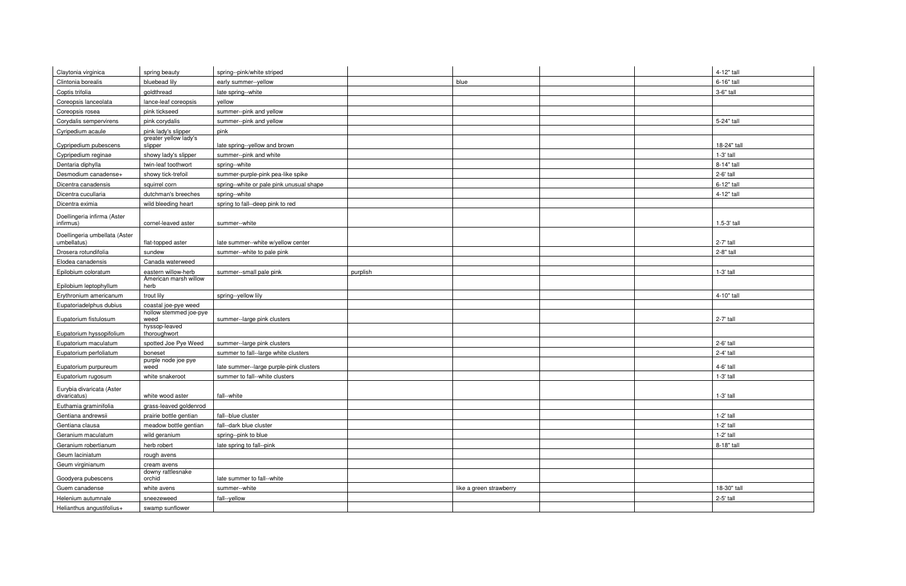| Claytonia virginica                              | spring beauty                    | spring--pink/white striped               |          |                         | 4-12" tall  |
|--------------------------------------------------|----------------------------------|------------------------------------------|----------|-------------------------|-------------|
| Clintonia borealis                               | bluebead lily                    | early summer--yellow                     |          | blue                    | 6-16" tall  |
| Coptis trifolia                                  | goldthread                       | late spring--white                       |          |                         | 3-6" tall   |
| Coreopsis lanceolata                             | lance-leaf coreopsis             | yellow                                   |          |                         |             |
| Coreopsis rosea                                  | pink tickseed                    | summer--pink and yellow                  |          |                         |             |
| Corydalis sempervirens                           | pink corydalis                   | summer--pink and yellow                  |          |                         | 5-24" tall  |
| Cyripedium acaule                                | pink lady's slipper              | pink                                     |          |                         |             |
| Cypripedium pubescens                            | greater yellow lady's<br>slipper | late spring--yellow and brown            |          |                         | 18-24" tall |
| Cypripedium reginae                              | showy lady's slipper             | summer--pink and white                   |          |                         | 1-3' tall   |
| Dentaria diphylla                                | twin-leaf toothwort              | spring--white                            |          |                         | 8-14" tall  |
| Desmodium canadense+                             | showy tick-trefoil               | summer-purple-pink pea-like spike        |          |                         | 2-6' tall   |
| Dicentra canadensis                              | squirrel corn                    | spring--white or pale pink unusual shape |          |                         | 6-12" tall  |
| Dicentra cucullaria                              | dutchman's breeches              | spring--white                            |          |                         | 4-12" tall  |
| Dicentra eximia                                  | wild bleeding heart              | spring to fall--deep pink to red         |          |                         |             |
|                                                  |                                  |                                          |          |                         |             |
| Doellingeria infirma (Aster<br>infirmus)         | cornel-leaved aster              | summer--white                            |          |                         | 1.5-3' tall |
| Doellingeria umbellata (Aster                    |                                  |                                          |          |                         |             |
| umbellatus)                                      | flat-topped aster                | late summer--white w/yellow center       |          |                         | 2-7' tall   |
| Drosera rotundifolia                             | sundew                           | summer--white to pale pink               |          |                         | 2-8" tall   |
| Elodea canadensis                                | Canada waterweed                 |                                          |          |                         |             |
| Epilobium coloratum                              | eastern willow-herb              | summer--small pale pink                  | purplish |                         | 1-3' tall   |
|                                                  | American marsh willow            |                                          |          |                         |             |
| Epilobium leptophyllum<br>Erythronium americanum | herb<br>trout lily               |                                          |          |                         | 4-10" tall  |
| Eupatoriadelphus dubius                          | coastal joe-pye weed             | spring--yellow lily                      |          |                         |             |
|                                                  | hollow stemmed joe-pye           |                                          |          |                         |             |
| Eupatorium fistulosum                            | weed                             | summer--large pink clusters              |          |                         | $2-7'$ tall |
| Eupatorium hyssopifolium                         | hyssop-leaved<br>thoroughwort    |                                          |          |                         |             |
| Eupatorium maculatum                             | spotted Joe Pye Weed             | summer--large pink clusters              |          |                         | 2-6' tall   |
| Eupatorium perfoliatum                           | boneset                          | summer to fall--large white clusters     |          |                         | 2-4' tall   |
|                                                  | purple node joe pye              |                                          |          |                         |             |
| Eupatorium purpureum                             | weed                             | late summer--large purple-pink clusters  |          |                         | 4-6' tall   |
| Eupatorium rugosum                               | white snakeroot                  | summer to fall--white clusters           |          |                         | 1-3' tall   |
| Eurybia divaricata (Aster<br>divaricatus)        | white wood aster                 | fall--white                              |          |                         | $1-3'$ tall |
| Euthamia graminifolia                            | grass-leaved goldenrod           |                                          |          |                         |             |
| Gentiana andrewsii                               | prairie bottle gentian           | fall--blue cluster                       |          |                         | $1-2'$ tall |
| Gentiana clausa                                  | meadow bottle gentian            | fall--dark blue cluster                  |          |                         | $1-2'$ tall |
| Geranium maculatum                               | wild geranium                    | spring--pink to blue                     |          |                         | $1-2'$ tall |
| Geranium robertianum                             | herb robert                      | late spring to fall--pink                |          |                         | 8-18" tall  |
| Geum laciniatum                                  | rough avens                      |                                          |          |                         |             |
| Geum virginianum                                 | cream avens                      |                                          |          |                         |             |
|                                                  | downy rattlesnake                |                                          |          |                         |             |
| Goodyera pubescens                               | orchid                           | late summer to fall--white               |          |                         |             |
| Guem canadense                                   | white avens                      | summer--white                            |          | like a green strawberry | 18-30" tall |
| Helenium autumnale                               | sneezeweed                       | fall--yellow                             |          |                         | 2-5' tall   |
| Helianthus angustifolius+                        | swamp sunflower                  |                                          |          |                         |             |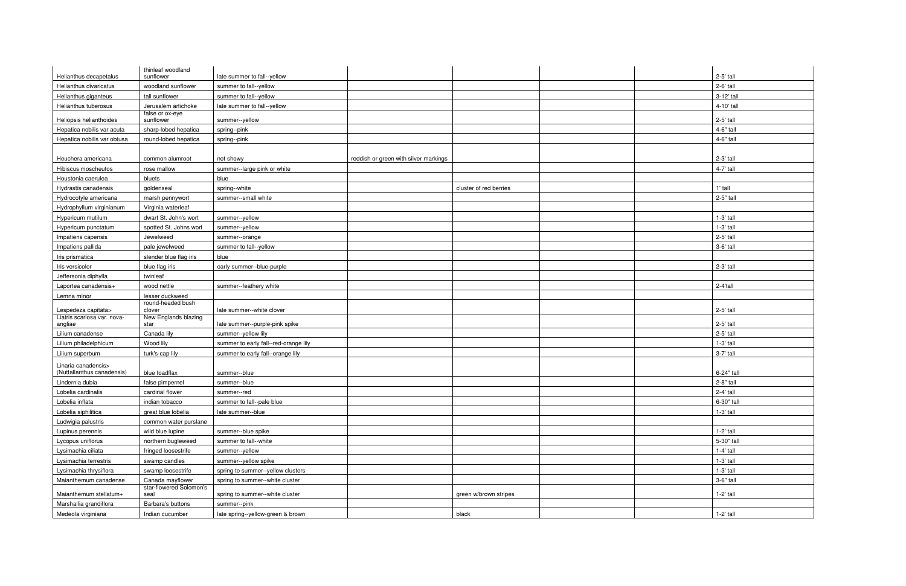| Helianthus decapetalus      | thinleaf woodland<br>sunflower         | late summer to fall--yellow           |                                       |                        |  | $2-5'$ tall |
|-----------------------------|----------------------------------------|---------------------------------------|---------------------------------------|------------------------|--|-------------|
| Helianthus divaricatus      | woodland sunflower                     | summer to fall--yellow                |                                       |                        |  | 2-6' tall   |
|                             |                                        |                                       |                                       |                        |  |             |
| Helianthus giganteus        | tall sunflower                         | summer to fall--yellow                |                                       |                        |  | 3-12' tall  |
| Helianthus tuberosus        | Jerusalem artichoke<br>false or ox-eye | late summer to fall--yellow           |                                       |                        |  | 4-10' tall  |
| Heliopsis helianthoides     | sunflower                              | summer--yellow                        |                                       |                        |  | 2-5' tall   |
| Hepatica nobilis var acuta  | sharp-lobed hepatica                   | spring--pink                          |                                       |                        |  | 4-6" tall   |
| Hepatica nobilis var obtusa | round-lobed hepatica                   | spring--pink                          |                                       |                        |  | 4-6" tall   |
|                             |                                        |                                       |                                       |                        |  |             |
| Heuchera americana          | common alumroot                        | not showy                             | reddish or green with silver markings |                        |  | 2-3' tall   |
| Hibiscus moscheutos         | rose mallow                            | summer--large pink or white           |                                       |                        |  | 4-7' tall   |
| Houstonia caerulea          | bluets                                 | blue                                  |                                       |                        |  |             |
| Hydrastis canadensis        | goldenseal                             | spring--white                         |                                       | cluster of red berries |  | 1' tall     |
| Hydrocotyle americana       | marsh pennywort                        | summer--small white                   |                                       |                        |  | 2-5" tall   |
| Hydrophyllum virginianum    | Virginia waterleaf                     |                                       |                                       |                        |  |             |
| Hypericum mutilum           | dwart St. John's wort                  | summer--yellow                        |                                       |                        |  | $1-3'$ tall |
| Hypericum punctatum         | spotted St. Johns wort                 | summer--yellow                        |                                       |                        |  | $1-3'$ tall |
| Impatiens capensis          | Jewelweed                              | summer--orange                        |                                       |                        |  | 2-5' tall   |
| Impatiens pallida           | pale jewelweed                         | summer to fall--yellow                |                                       |                        |  | 3-6' tall   |
| Iris prismatica             | slender blue flag iris                 | blue                                  |                                       |                        |  |             |
| Iris versicolor             | blue flag iris                         | early summer--blue-purple             |                                       |                        |  | 2-3' tall   |
| Jeffersonia diphylla        | twinleaf                               |                                       |                                       |                        |  |             |
|                             |                                        |                                       |                                       |                        |  |             |
| Laportea canadensis+        | wood nettle                            | summer--feathery white                |                                       |                        |  | 2-4'tall    |
| Lemna minor                 | lesser duckweed<br>round-headed bush   |                                       |                                       |                        |  |             |
| Lespedeza capitata>         | clover                                 | late summer--white clover             |                                       |                        |  | 2-5' tall   |
| Liatris scariosa var. nova- | New Englands blazing                   |                                       |                                       |                        |  | 2-5' tall   |
| angliae                     | star                                   | late summer--purple-pink spike        |                                       |                        |  |             |
| Lilium canadense            | Canada lily                            | summer--yellow lily                   |                                       |                        |  | 2-5' tall   |
| Lilium philadelphicum       | Wood lily                              | summer to early fall--red-orange lily |                                       |                        |  | $1-3'$ tall |
| Lilium superbum             | turk's-cap lily                        | summer to early fall--orange lily     |                                       |                        |  | 3-7' tall   |
| Linaria canadensis>         |                                        |                                       |                                       |                        |  |             |
| (Nuttallanthus canadensis)  | blue toadflax                          | summer--blue                          |                                       |                        |  | 6-24" tall  |
| Lindernia dubia             | false pimpernel                        | summer--blue                          |                                       |                        |  | 2-8" tall   |
| Lobelia cardinalis          | cardinal flower                        | summer--red                           |                                       |                        |  | 2-4' tall   |
| Lobelia inflata             | indian tobacco                         | summer to fall--pale blue             |                                       |                        |  | 6-30" tall  |
| Lobelia siphilitica         | great blue lobelia                     | late summer--blue                     |                                       |                        |  | 1-3' tall   |
| Ludwigia palustris          | common water purslane                  |                                       |                                       |                        |  |             |
| Lupinus perennis            | wild blue lupine                       | summer--blue spike                    |                                       |                        |  | $1-2'$ tall |
| Lycopus uniflorus           | northern bugleweed                     | summer to fall--white                 |                                       |                        |  | 5-30" tall  |
| Lysimachia ciliata          | fringed loosestrife                    | summer--yellow                        |                                       |                        |  | $1-4'$ tall |
| Lysimachia terrestris       | swamp candles                          | summer--yellow spike                  |                                       |                        |  | $1-3'$ tall |
| Lysimachia thrysiflora      | swamp loosestrife                      | spring to summer--yellow clusters     |                                       |                        |  | 1-3' tall   |
| Maianthemum canadense       | Canada mayflower                       | spring to summer--white cluster       |                                       |                        |  | 3-6" tall   |
| Maianthemum stellatum+      | star-flowered Solomon's<br>seal        | spring to summer--white cluster       |                                       | green w/brown stripes  |  | $1-2'$ tall |
| Marshallia grandiflora      | Barbara's buttons                      | summer--pink                          |                                       |                        |  |             |
| Medeola virginiana          | Indian cucumber                        | late spring--yellow-green & brown     |                                       | black                  |  | 1-2' tall   |
|                             |                                        |                                       |                                       |                        |  |             |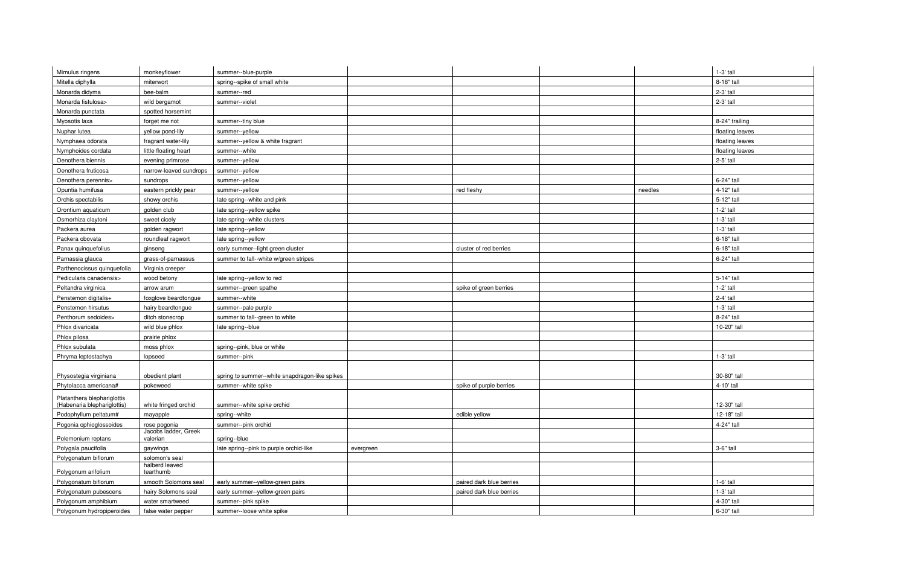| Mimulus ringens                                            | monkeyflower                | summer--blue-purple                                  |                          |         | $1-3'$ tall     |
|------------------------------------------------------------|-----------------------------|------------------------------------------------------|--------------------------|---------|-----------------|
| Mitella diphylla                                           |                             |                                                      |                          |         | 8-18" tall      |
|                                                            | miterwort                   | spring--spike of small white                         |                          |         |                 |
| Monarda didyma                                             | bee-balm                    | summer--red                                          |                          |         | 2-3' tall       |
| Monarda fistulosa>                                         | wild bergamot               | summer--violet                                       |                          |         | 2-3' tall       |
| Monarda punctata                                           | spotted horsemint           |                                                      |                          |         |                 |
| Myosotis laxa                                              | forget me not               | summer--tiny blue                                    |                          |         | 8-24" trailing  |
| Nuphar lutea                                               | yellow pond-lily            | summer--yellow                                       |                          |         | floating leaves |
| Nymphaea odorata                                           | fragrant water-lily         | summer--yellow & white fragrant                      |                          |         | floating leaves |
| Nymphoides cordata                                         | little floating heart       | summer--white                                        |                          |         | floating leaves |
| Oenothera biennis                                          | evening primrose            | summer--yellow                                       |                          |         | 2-5' tall       |
| Oenothera fruticosa                                        | narrow-leaved sundrops      | summer--yellow                                       |                          |         |                 |
| Oenothera perennis>                                        | sundrops                    | summer--yellow                                       |                          |         | 6-24" tall      |
| Opuntia humifusa                                           | eastern prickly pear        | summer--yellow                                       | red fleshy               | needles | 4-12" tall      |
| Orchis spectabilis                                         | showy orchis                | late spring--white and pink                          |                          |         | 5-12" tall      |
| Orontium aquaticum                                         | golden club                 | late spring--yellow spike                            |                          |         | $1-2'$ tall     |
| Osmorhiza claytoni                                         | sweet cicely                | late spring--white clusters                          |                          |         | $1-3'$ tall     |
| Packera aurea                                              | golden ragwort              | late spring--yellow                                  |                          |         | $1-3'$ tall     |
| Packera obovata                                            | roundleaf ragwort           | late spring--yellow                                  |                          |         | 6-18" tall      |
| Panax quinquefolius                                        | ginseng                     | early summer--light green cluster                    | cluster of red berries   |         | 6-18" tall      |
| Parnassia glauca                                           | grass-of-parnassus          | summer to fall--white w/green stripes                |                          |         | 6-24" tall      |
| Parthenocissus quinquefolia                                | Virginia creeper            |                                                      |                          |         |                 |
| Pedicularis canadensis>                                    | wood betony                 | late spring--yellow to red                           |                          |         | 5-14" tall      |
| Peltandra virginica                                        | arrow arum                  | summer--green spathe                                 | spike of green berries   |         | $1-2'$ tall     |
| Penstemon digitalis+                                       | foxglove beardtongue        | summer--white                                        |                          |         | 2-4' tall       |
| Penstemon hirsutus                                         | hairy beardtongue           | summer--pale purple                                  |                          |         | 1-3' tall       |
| Penthorum sedoides>                                        | ditch stonecrop             | summer to fall--green to white                       |                          |         | 8-24" tall      |
| Phlox divaricata                                           | wild blue phlox             | late spring--blue                                    |                          |         | 10-20" tall     |
| Phlox pilosa                                               | prairie phlox               |                                                      |                          |         |                 |
| Phlox subulata                                             | moss phlox                  | spring--pink, blue or white                          |                          |         |                 |
| Phryma leptostachya                                        | lopseed                     | summer--pink                                         |                          |         | $1-3'$ tall     |
|                                                            |                             |                                                      |                          |         |                 |
| Physostegia virginiana                                     | obedient plant              | spring to summer--white snapdragon-like spikes       |                          |         | 30-80" tall     |
| Phytolacca americana#                                      | pokeweed                    | summer--white spike                                  | spike of purple berries  |         | 4-10' tall      |
|                                                            |                             |                                                      |                          |         |                 |
| Platanthera blephariglottis<br>(Habenaria blephariglottis) | white fringed orchid        | summer--white spike orchid                           |                          |         | 12-30" tall     |
| Podophyllum peltatum#                                      | mayapple                    | spring--white                                        | edible yellow            |         | 12-18" tall     |
| Pogonia ophioglossoides                                    | rose pogonia                | summer--pink orchid                                  |                          |         | 4-24" tall      |
|                                                            | Jacobs ladder, Greek        |                                                      |                          |         |                 |
| Polemonium reptans                                         | valerian                    | spring--blue                                         |                          |         |                 |
| Polygala paucifolia                                        | gaywings                    | late spring--pink to purple orchid-like<br>evergreen |                          |         | 3-6" tall       |
| Polygonatum biflorum                                       | solomon's seal              |                                                      |                          |         |                 |
| Polygonum arifolium                                        | halberd leaved<br>tearthumb |                                                      |                          |         |                 |
| Polygonatum biflorum                                       | smooth Solomons seal        | early summer--yellow-green pairs                     | paired dark blue berries |         | $1-6'$ tall     |
| Polygonatum pubescens                                      | hairy Solomons seal         | early summer--yellow-green pairs                     | paired dark blue berries |         | $1-3'$ tall     |
| Polygonum amphibium                                        | water smartweed             | summer--pink spike                                   |                          |         | 4-30" tall      |
| Polygonum hydropiperoides                                  |                             | summer--loose white spike                            |                          |         | 6-30" tall      |
|                                                            | false water pepper          |                                                      |                          |         |                 |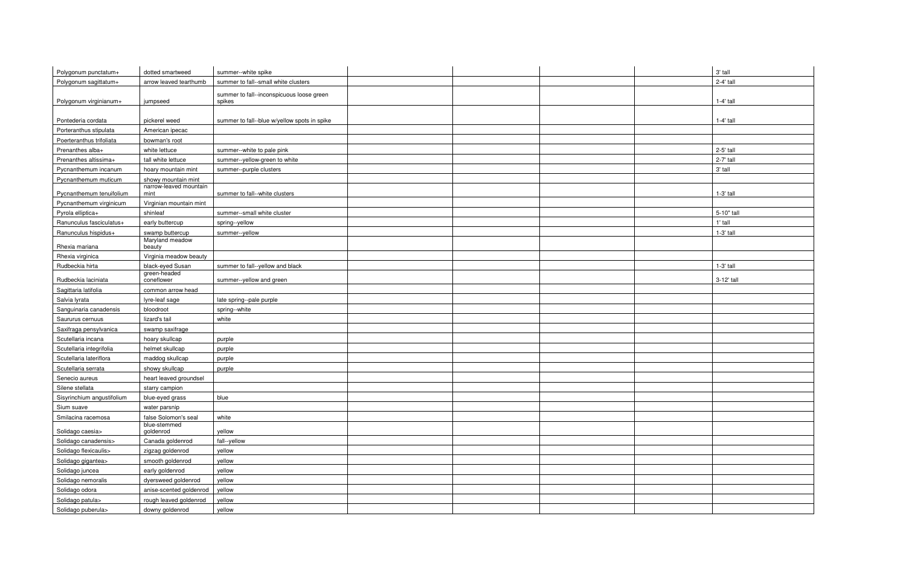| Polygonum punctatum+       | dotted smartweed               | summer--white spike                                 |  | 3' tall     |
|----------------------------|--------------------------------|-----------------------------------------------------|--|-------------|
| Polygonum sagittatum+      | arrow leaved tearthumb         | summer to fall--small white clusters                |  | 2-4' tall   |
|                            |                                |                                                     |  |             |
| Polygonum virginianum+     | jumpseed                       | summer to fall--inconspicuous loose green<br>spikes |  | $1-4'$ tall |
|                            |                                |                                                     |  |             |
| Pontederia cordata         | pickerel weed                  | summer to fall--blue w/yellow spots in spike        |  | $1-4'$ tall |
| Porteranthus stipulata     | American ipecac                |                                                     |  |             |
| Poerteranthus trifoliata   | bowman's root                  |                                                     |  |             |
| Prenanthes alba+           | white lettuce                  | summer--white to pale pink                          |  | 2-5' tall   |
| Prenanthes altissima+      | tall white lettuce             | summer--yellow-green to white                       |  | 2-7' tall   |
| Pycnanthemum incanum       | hoary mountain mint            | summer--purple clusters                             |  | 3' tall     |
| Pycnanthemum muticum       | showy mountain mint            |                                                     |  |             |
| Pycnanthemum tenuifolium   | narrow-leaved mountain<br>mint | summer to fall--white clusters                      |  | $1-3'$ tall |
| Pycnanthemum virginicum    | Virginian mountain mint        |                                                     |  |             |
| Pyrola elliptica+          | shinleaf                       | summer--small white cluster                         |  | 5-10" tall  |
| Ranunculus fasciculatus+   | early buttercup                | spring--yellow                                      |  | 1' tall     |
| Ranunculus hispidus+       | swamp buttercup                | summer--yellow                                      |  | 1-3' tall   |
| Rhexia mariana             | Maryland meadow<br>beauty      |                                                     |  |             |
| Rhexia virginica           | Virginia meadow beauty         |                                                     |  |             |
| Rudbeckia hirta            | black-eyed Susan               | summer to fall--yellow and black                    |  | 1-3' tall   |
| Rudbeckia laciniata        | green-headed<br>coneflower     | summer--yellow and green                            |  | 3-12' tall  |
| Sagittaria latifolia       | common arrow head              |                                                     |  |             |
| Salvia lyrata              | lyre-leaf sage                 | late spring--pale purple                            |  |             |
| Sanguinaria canadensis     | bloodroot                      | spring--white                                       |  |             |
| Saururus cernuus           | lizard's tail                  | white                                               |  |             |
| Saxifraga pensylvanica     | swamp saxifrage                |                                                     |  |             |
| Scutellaria incana         | hoary skullcap                 | purple                                              |  |             |
| Scutellaria integrifolia   | helmet skullcap                | purple                                              |  |             |
| Scutellaria lateriflora    | maddog skullcap                | purple                                              |  |             |
| Scutellaria serrata        | showy skullcap                 | purple                                              |  |             |
| Senecio aureus             | heart leaved groundsel         |                                                     |  |             |
| Silene stellata            | starry campion                 |                                                     |  |             |
| Sisyrinchium angustifolium | blue-eyed grass                | blue                                                |  |             |
| Sium suave                 | water parsnip                  |                                                     |  |             |
| Smilacina racemosa         | false Solomon's seal           | white                                               |  |             |
| Solidago caesia>           | blue-stemmed<br>goldenrod      | yellow                                              |  |             |
| Solidago canadensis>       | Canada goldenrod               | fall--yellow                                        |  |             |
| Solidago flexicaulis>      | zigzag goldenrod               | yellow                                              |  |             |
| Solidago gigantea>         | smooth goldenrod               | yellow                                              |  |             |
| Solidago juncea            | early goldenrod                | yellow                                              |  |             |
| Solidago nemoralis         | dyersweed goldenrod            | yellow                                              |  |             |
| Solidago odora             | anise-scented goldenrod        | yellow                                              |  |             |
| Solidago patula>           | rough leaved goldenrod         | yellow                                              |  |             |
| Solidago puberula>         | downy goldenrod                | yellow                                              |  |             |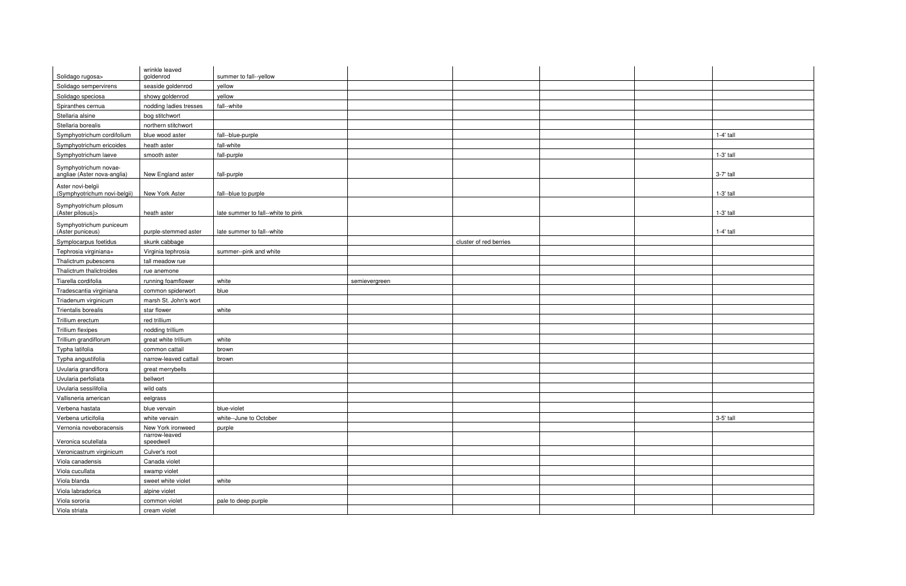| Solidago rugosa>                                     | wrinkle leaved<br>goldenrod | summer to fall--yellow             |               |                        |             |
|------------------------------------------------------|-----------------------------|------------------------------------|---------------|------------------------|-------------|
| Solidago sempervirens                                |                             | yellow                             |               |                        |             |
|                                                      | seaside goldenrod           |                                    |               |                        |             |
| Solidago speciosa                                    | showy goldenrod             | yellow                             |               |                        |             |
| Spiranthes cernua                                    | nodding ladies tresses      | fall--white                        |               |                        |             |
| Stellaria alsine                                     | bog stitchwort              |                                    |               |                        |             |
| Stellaria borealis                                   | northern stitchwort         |                                    |               |                        |             |
| Symphyotrichum cordifolium                           | blue wood aster             | fall--blue-purple                  |               |                        | $1-4'$ tall |
| Symphyotrichum ericoides                             | heath aster                 | fall-white                         |               |                        |             |
| Symphyotrichum laeve                                 | smooth aster                | fall-purple                        |               |                        | 1-3' tall   |
| Symphyotrichum novae-<br>angliae (Aster nova-anglia) | New England aster           | fall-purple                        |               |                        | 3-7' tall   |
| Aster novi-belgii<br>(Symphyotrichum novi-belgii)    | New York Aster              | fall--blue to purple               |               |                        | 1-3' tall   |
| Symphyotrichum pilosum<br>$(Aster$ pilosus $)$       | heath aster                 | late summer to fall--white to pink |               |                        | 1-3' tall   |
| Symphyotrichum puniceum<br>(Aster puniceus)          | purple-stemmed aster        | late summer to fall--white         |               |                        | $1-4'$ tall |
| Symplocarpus foetidus                                | skunk cabbage               |                                    |               | cluster of red berries |             |
| Tephrosia virginiana+                                | Virginia tephrosia          | summer--pink and white             |               |                        |             |
| Thalictrum pubescens                                 | tall meadow rue             |                                    |               |                        |             |
| Thalictrum thalictroides                             | rue anemone                 |                                    |               |                        |             |
| Tiarella cordifolia                                  | running foamflower          | white                              | semievergreen |                        |             |
| Tradescantia virginiana                              | common spiderwort           | blue                               |               |                        |             |
| Triadenum virginicum                                 | marsh St. John's wort       |                                    |               |                        |             |
| Trientalis borealis                                  | star flower                 | white                              |               |                        |             |
| Trillium erectum                                     | red trillium                |                                    |               |                        |             |
| Trillium flexipes                                    | nodding trillium            |                                    |               |                        |             |
| Trillium grandiflorum                                | great white trillium        | white                              |               |                        |             |
| Typha latifolia                                      | common cattail              | brown                              |               |                        |             |
| Typha angustifolia                                   | narrow-leaved cattail       | brown                              |               |                        |             |
| Uvularia grandiflora                                 | great merrybells            |                                    |               |                        |             |
| Uvularia perfoliata                                  | bellwort                    |                                    |               |                        |             |
| Uvularia sessilifolia                                | wild oats                   |                                    |               |                        |             |
| Vallisneria american                                 | eelgrass                    |                                    |               |                        |             |
| Verbena hastata                                      | blue vervain                | blue-violet                        |               |                        |             |
| Verbena urticifolia                                  | white vervain               | white--June to October             |               |                        | 3-5' tall   |
| Vernonia noveboracensis                              | New York ironweed           | purple                             |               |                        |             |
| Veronica scutellata                                  | narrow-leaved<br>speedwell  |                                    |               |                        |             |
| Veronicastrum virginicum                             | Culver's root               |                                    |               |                        |             |
| Viola canadensis                                     | Canada violet               |                                    |               |                        |             |
| Viola cucullata                                      | swamp violet                |                                    |               |                        |             |
| Viola blanda                                         | sweet white violet          | white                              |               |                        |             |
| Viola labradorica                                    | alpine violet               |                                    |               |                        |             |
| Viola sororia                                        | common violet               | pale to deep purple                |               |                        |             |
| Viola striata                                        | cream violet                |                                    |               |                        |             |
|                                                      |                             |                                    |               |                        |             |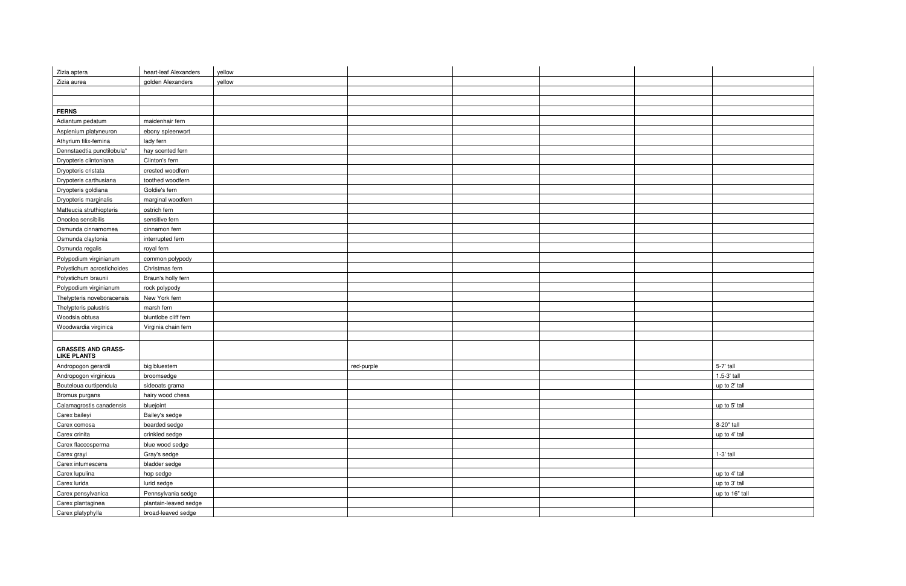| Zizia aptera                                    | heart-leaf Alexanders | yellow     |  |                |
|-------------------------------------------------|-----------------------|------------|--|----------------|
| Zizia aurea                                     | golden Alexanders     | yellow     |  |                |
|                                                 |                       |            |  |                |
|                                                 |                       |            |  |                |
| <b>FERNS</b>                                    |                       |            |  |                |
| Adiantum pedatum                                | maidenhair fern       |            |  |                |
| Asplenium platyneuron                           | ebony spleenwort      |            |  |                |
| Athyrium filix-femina                           | lady fern             |            |  |                |
| Dennstaedtia punctilobula*                      | hay scented fern      |            |  |                |
| Dryopteris clintoniana                          | Clinton's fern        |            |  |                |
| Dryopteris cristata                             | crested woodfern      |            |  |                |
| Drypoteris carthusiana                          | toothed woodfern      |            |  |                |
| Dryopteris goldiana                             | Goldie's fern         |            |  |                |
| Dryopteris marginalis                           | marginal woodfern     |            |  |                |
| Matteucia struthiopteris                        | ostrich fern          |            |  |                |
| Onoclea sensibilis                              | sensitive fern        |            |  |                |
| Osmunda cinnamomea                              | cinnamon fern         |            |  |                |
| Osmunda claytonia                               | interrupted fern      |            |  |                |
| Osmunda regalis                                 | royal fern            |            |  |                |
| Polypodium virginianum                          | common polypody       |            |  |                |
| Polystichum acrostichoides                      | Christmas fern        |            |  |                |
| Polystichum braunii                             | Braun's holly fern    |            |  |                |
| Polypodium virginianum                          | rock polypody         |            |  |                |
| Thelypteris noveboracensis                      | New York fern         |            |  |                |
| Thelypteris palustris                           | marsh fern            |            |  |                |
| Woodsia obtusa                                  | bluntlobe cliff fern  |            |  |                |
| Woodwardia virginica                            | Virginia chain fern   |            |  |                |
|                                                 |                       |            |  |                |
| <b>GRASSES AND GRASS-</b><br><b>LIKE PLANTS</b> |                       |            |  |                |
| Andropogon gerardii                             | big bluestem          | red-purple |  | 5-7' tall      |
| Andropogon virginicus                           | broomsedge            |            |  | 1.5-3' tall    |
| Bouteloua curtipendula                          | sideoats grama        |            |  | up to 2' tall  |
| Bromus purgans                                  | hairy wood chess      |            |  |                |
| Calamagrostis canadensis                        | bluejoint             |            |  | up to 5' tall  |
| Carex baileyi                                   | Bailey's sedge        |            |  |                |
| Carex comosa                                    | bearded sedge         |            |  | 8-20" tall     |
| Carex crinita                                   | crinkled sedge        |            |  | up to 4' tall  |
| Carex flaccosperma                              | blue wood sedge       |            |  |                |
| Carex grayi                                     | Gray's sedge          |            |  | $1-3'$ tall    |
| Carex intumescens                               | bladder sedge         |            |  |                |
| Carex lupulina                                  | hop sedge             |            |  | up to 4' tall  |
| Carex lurida                                    | lurid sedge           |            |  | up to 3' tall  |
| Carex pensylvanica                              | Pennsylvania sedge    |            |  | up to 16" tall |
| Carex plantaginea                               | plantain-leaved sedge |            |  |                |
| Carex platyphylla                               | broad-leaved sedge    |            |  |                |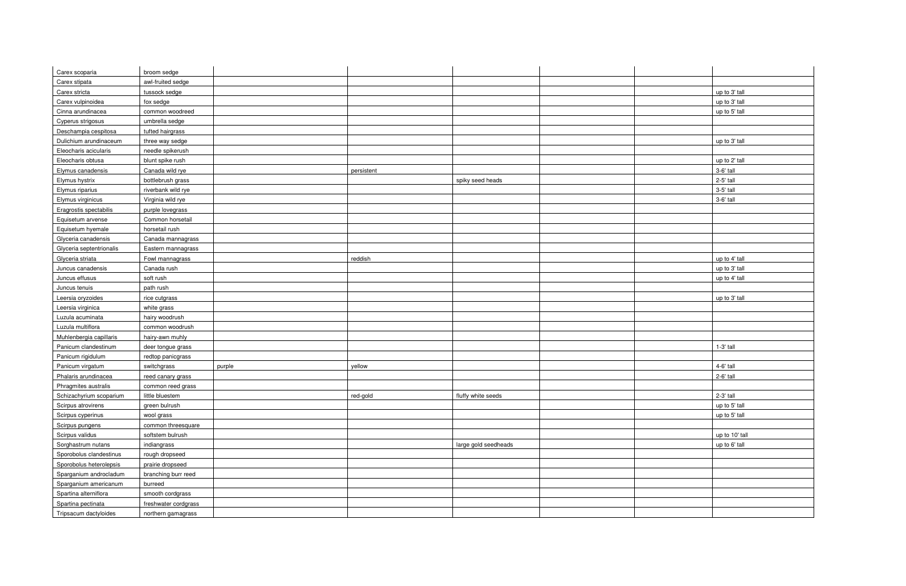| Carex scoparia           | broom sedge          |        |            |                      |  |                |
|--------------------------|----------------------|--------|------------|----------------------|--|----------------|
| Carex stipata            | awl-fruited sedge    |        |            |                      |  |                |
| Carex stricta            | tussock sedge        |        |            |                      |  | up to 3' tall  |
| Carex vulpinoidea        | fox sedge            |        |            |                      |  | up to 3' tall  |
| Cinna arundinacea        | common woodreed      |        |            |                      |  | up to 5' tall  |
| Cyperus strigosus        | umbrella sedge       |        |            |                      |  |                |
| Deschampia cespitosa     | tufted hairgrass     |        |            |                      |  |                |
| Dulichium arundinaceum   | three way sedge      |        |            |                      |  | up to 3' tall  |
| Eleocharis acicularis    | needle spikerush     |        |            |                      |  |                |
| Eleocharis obtusa        | blunt spike rush     |        |            |                      |  | up to 2' tall  |
| Elymus canadensis        | Canada wild rye      |        | persistent |                      |  | 3-6' tall      |
| Elymus hystrix           | bottlebrush grass    |        |            | spiky seed heads     |  | 2-5' tall      |
| Elymus riparius          | riverbank wild rye   |        |            |                      |  | 3-5' tall      |
| Elymus virginicus        | Virginia wild rye    |        |            |                      |  | 3-6' tall      |
| Eragrostis spectabilis   | purple lovegrass     |        |            |                      |  |                |
| Equisetum arvense        | Common horsetail     |        |            |                      |  |                |
| Equisetum hyemale        | horsetail rush       |        |            |                      |  |                |
| Glyceria canadensis      | Canada mannagrass    |        |            |                      |  |                |
| Glyceria septentrionalis | Eastern mannagrass   |        |            |                      |  |                |
| Glyceria striata         | Fowl mannagrass      |        | reddish    |                      |  | up to 4' tall  |
| Juncus canadensis        | Canada rush          |        |            |                      |  | up to 3' tall  |
| Juncus effusus           | soft rush            |        |            |                      |  | up to 4' tall  |
| Juncus tenuis            | path rush            |        |            |                      |  |                |
| Leersia oryzoides        | rice cutgrass        |        |            |                      |  | up to 3' tall  |
| Leersia virginica        | white grass          |        |            |                      |  |                |
| Luzula acuminata         | hairy woodrush       |        |            |                      |  |                |
| Luzula multiflora        | common woodrush      |        |            |                      |  |                |
| Muhlenbergia capillaris  | hairy-awn muhly      |        |            |                      |  |                |
| Panicum clandestinum     | deer tongue grass    |        |            |                      |  | 1-3' tall      |
| Panicum rigidulum        | redtop panicgrass    |        |            |                      |  |                |
| Panicum virgatum         | switchgrass          | purple | yellow     |                      |  | 4-6' tall      |
| Phalaris arundinacea     | reed canary grass    |        |            |                      |  | 2-6' tall      |
| Phragmites australis     | common reed grass    |        |            |                      |  |                |
| Schizachyrium scoparium  | little bluestem      |        | red-gold   | fluffy white seeds   |  | 2-3' tall      |
| Scirpus atrovirens       | green bulrush        |        |            |                      |  | up to 5' tall  |
| Scirpus cyperinus        | wool grass           |        |            |                      |  | up to 5' tall  |
| Scirpus pungens          | common threesquare   |        |            |                      |  |                |
| Scirpus validus          | softstem bulrush     |        |            |                      |  | up to 10' tall |
| Sorghastrum nutans       | indiangrass          |        |            | large gold seedheads |  | up to 6' tall  |
| Sporobolus clandestinus  | rough dropseed       |        |            |                      |  |                |
| Sporobolus heterolepsis  | prairie dropseed     |        |            |                      |  |                |
| Sparganium androcladum   | branching burr reed  |        |            |                      |  |                |
| Sparganium americanum    | burreed              |        |            |                      |  |                |
| Spartina alterniflora    | smooth cordgrass     |        |            |                      |  |                |
| Spartina pectinata       | freshwater cordgrass |        |            |                      |  |                |
| Tripsacum dactyloides    | northern gamagrass   |        |            |                      |  |                |